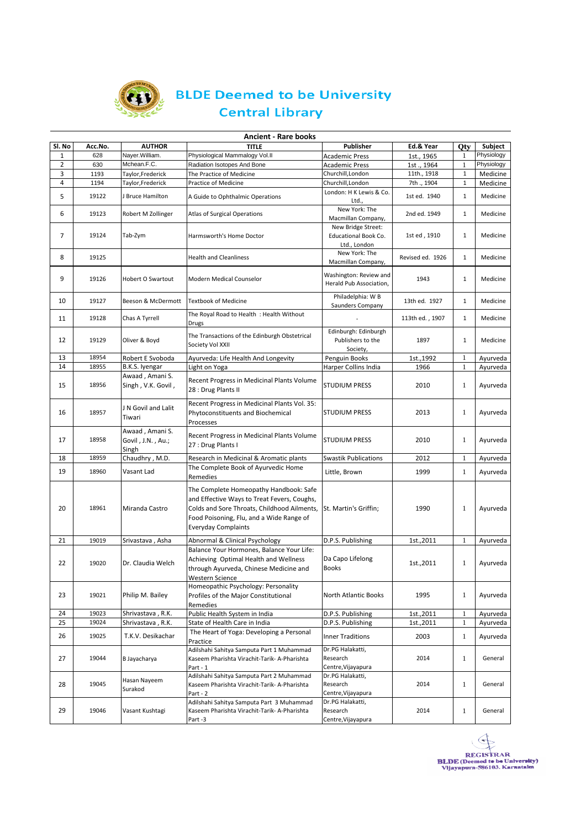

## **BLDE Deemed to be University Central Library**

|        | <b>Ancient - Rare books</b> |                                               |                                                                                                                                                                                                                |                                                            |                  |              |            |  |  |
|--------|-----------------------------|-----------------------------------------------|----------------------------------------------------------------------------------------------------------------------------------------------------------------------------------------------------------------|------------------------------------------------------------|------------------|--------------|------------|--|--|
| SI. No | Acc.No.                     | <b>AUTHOR</b>                                 | <b>TITLE</b>                                                                                                                                                                                                   | <b>Publisher</b>                                           | Ed.& Year        | <b>Qty</b>   | Subject    |  |  |
| 1      | 628                         | Nayer.William.                                | Physiological Mammalogy Vol.II                                                                                                                                                                                 | <b>Academic Press</b>                                      | 1st., 1965       | 1            | Physiology |  |  |
| 2      | 630                         | Mchean.F.C.                                   | Radiation Isotopes And Bone                                                                                                                                                                                    | <b>Academic Press</b>                                      | 1st., 1964       | $\mathbf{1}$ | Physiology |  |  |
| 3      | 1193                        | Taylor,Frederick                              | The Practice of Medicine                                                                                                                                                                                       | Churchill, London                                          | 11th., 1918      | $\mathbf{1}$ | Medicine   |  |  |
| 4      | 1194                        | Taylor,Frederick                              | Practice of Medicine                                                                                                                                                                                           | Churchill, London                                          | 7th ., 1904      | $\mathbf{1}$ | Medicine   |  |  |
| 5      | 19122                       | J Bruce Hamilton                              | A Guide to Ophthalmic Operations                                                                                                                                                                               | London: H K Lewis & Co.<br>Ltd.,                           | 1st ed. 1940     | $\mathbf{1}$ | Medicine   |  |  |
| 6      | 19123                       | Robert M Zollinger                            | Atlas of Surgical Operations                                                                                                                                                                                   | New York: The<br>Macmillan Company,                        | 2nd ed. 1949     | $\mathbf{1}$ | Medicine   |  |  |
| 7      | 19124                       | Tab-Zym                                       | Harmsworth's Home Doctor                                                                                                                                                                                       | New Bridge Street:<br>Educational Book Co.<br>Ltd., London | 1st ed, 1910     | $\mathbf{1}$ | Medicine   |  |  |
| 8      | 19125                       |                                               | Health and Cleanliness                                                                                                                                                                                         | New York: The<br>Macmillan Company,                        | Revised ed. 1926 | $\mathbf{1}$ | Medicine   |  |  |
| 9      | 19126                       | <b>Hobert O Swartout</b>                      | Modern Medical Counselor                                                                                                                                                                                       | Washington: Review and<br>Herald Pub Association,          | 1943             | $\mathbf{1}$ | Medicine   |  |  |
| 10     | 19127                       | Beeson & McDermott                            | <b>Textbook of Medicine</b>                                                                                                                                                                                    | Philadelphia: W B<br>Saunders Company                      | 13th ed. 1927    | $\mathbf{1}$ | Medicine   |  |  |
| 11     | 19128                       | Chas A Tyrrell                                | The Royal Road to Health: Health Without<br>Drugs                                                                                                                                                              |                                                            | 113th ed., 1907  | $\mathbf{1}$ | Medicine   |  |  |
| 12     | 19129                       | Oliver & Boyd                                 | The Transactions of the Edinburgh Obstetrical<br>Society Vol XXII                                                                                                                                              | Edinburgh: Edinburgh<br>Publishers to the<br>Society,      | 1897             | $\mathbf{1}$ | Medicine   |  |  |
| 13     | 18954                       | Robert E Svoboda                              | Ayurveda: Life Health And Longevity                                                                                                                                                                            | Penguin Books                                              | 1st., 1992       | 1            | Ayurveda   |  |  |
| 14     | 18955                       | B.K.S. Iyengar                                | Light on Yoga                                                                                                                                                                                                  | Harper Collins India                                       | 1966             | $\mathbf{1}$ | Ayurveda   |  |  |
| 15     | 18956                       | Awaad, Amani S.<br>Singh, V.K. Govil,         | Recent Progress in Medicinal Plants Volume<br>28 : Drug Plants II                                                                                                                                              | <b>STUDIUM PRESS</b>                                       | 2010             | 1            | Ayurveda   |  |  |
| 16     | 18957                       | J N Govil and Lalit<br>Tiwari                 | Recent Progress in Medicinal Plants Vol. 35:<br>Phytoconstituents and Biochemical<br>Processes                                                                                                                 | <b>STUDIUM PRESS</b>                                       | 2013             | 1            | Ayurveda   |  |  |
| 17     | 18958                       | Awaad, Amani S.<br>Govil, J.N., Au.;<br>Singh | Recent Progress in Medicinal Plants Volume<br>27 : Drug Plants I                                                                                                                                               | <b>STUDIUM PRESS</b>                                       | 2010             | 1            | Ayurveda   |  |  |
| 18     | 18959                       | Chaudhry, M.D.                                | Research in Medicinal & Aromatic plants                                                                                                                                                                        | <b>Swastik Publications</b>                                | 2012             | 1            | Ayurveda   |  |  |
| 19     | 18960                       | Vasant Lad                                    | The Complete Book of Ayurvedic Home<br>Remedies                                                                                                                                                                | Little, Brown                                              | 1999             | $\mathbf{1}$ | Ayurveda   |  |  |
| 20     | 18961                       | Miranda Castro                                | The Complete Homeopathy Handbook: Safe<br>and Effective Ways to Treat Fevers, Coughs,<br>Colds and Sore Throats, Childhood Ailments,<br>Food Poisoning, Flu, and a Wide Range of<br><b>Everyday Complaints</b> | St. Martin's Griffin;                                      | 1990             | 1            | Ayurveda   |  |  |
| 21     | 19019                       | Srivastava, Asha                              | Abnormal & Clinical Psychology                                                                                                                                                                                 | D.P.S. Publishing                                          | 1st.,2011        | 1            | Ayurveda   |  |  |
| 22     | 19020                       | Dr. Claudia Welch                             | Balance Your Hormones, Balance Your Life:<br>Achieving Optimal Health and Wellness<br>through Ayurveda, Chinese Medicine and<br>Western Science                                                                | Da Capo Lifelong<br><b>Books</b>                           | 1st.,2011        | 1            | Ayurveda   |  |  |
| 23     | 19021                       | Philip M. Bailey                              | Homeopathic Psychology: Personality<br>Profiles of the Major Constitutional<br>Remedies                                                                                                                        | North Atlantic Books                                       | 1995             | $\mathbf{1}$ | Ayurveda   |  |  |
| 24     | 19023                       | Shrivastava, R.K.                             | Public Health System in India                                                                                                                                                                                  | D.P.S. Publishing                                          | 1st.,2011        | $\mathbf{1}$ | Ayurveda   |  |  |
| 25     | 19024                       | Shrivastava, R.K.                             | State of Health Care in India                                                                                                                                                                                  | D.P.S. Publishing                                          | 1st., 2011       | 1            | Ayurveda   |  |  |
| 26     | 19025                       | T.K.V. Desikachar                             | The Heart of Yoga: Developing a Personal<br>Practice                                                                                                                                                           | <b>Inner Traditions</b>                                    | 2003             | $\mathbf{1}$ | Ayurveda   |  |  |
| 27     | 19044                       | B Jayacharya                                  | Adilshahi Sahitya Samputa Part 1 Muhammad<br>Kaseem Pharishta Virachit-Tarik- A-Pharishta<br>Part - 1                                                                                                          | Dr.PG Halakatti,<br>Research<br>Centre, Vijayapura         | 2014             | $\mathbf{1}$ | General    |  |  |
| 28     | 19045                       | Hasan Nayeem<br>Surakod                       | Adilshahi Sahitya Samputa Part 2 Muhammad<br>Kaseem Pharishta Virachit-Tarik- A-Pharishta<br>Part - 2                                                                                                          | Dr.PG Halakatti,<br>Research<br>Centre, Vijayapura         | 2014             | $\mathbf{1}$ | General    |  |  |
| 29     | 19046                       | Vasant Kushtagi                               | Adilshahi Sahitya Samputa Part 3 Muhammad<br>Kaseem Pharishta Virachit-Tarik- A-Pharishta<br>Part -3                                                                                                           | Dr.PG Halakatti,<br>Research<br>Centre. Viiavapura         | 2014             | $\mathbf{1}$ | General    |  |  |

REGISTRAR<br>BLDE (Deemed to be University)<br>Vijayapura-586103. Karnatalm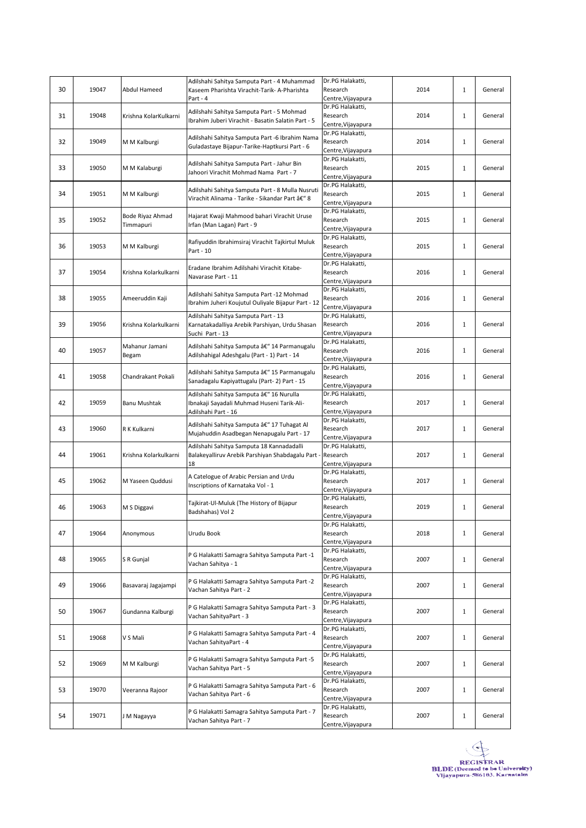| 30 | 19047 | Abdul Hameed                  | Adilshahi Sahitya Samputa Part - 4 Muhammad<br>Kaseem Pharishta Virachit-Tarik- A-Pharishta                   | Dr.PG Halakatti,<br>Research                                             | 2014 | $\mathbf{1}$ | General |
|----|-------|-------------------------------|---------------------------------------------------------------------------------------------------------------|--------------------------------------------------------------------------|------|--------------|---------|
| 31 | 19048 | Krishna KolarKulkarni         | Part - 4<br>Adilshahi Sahitya Samputa Part - 5 Mohmad<br>Ibrahim Juberi Virachit - Basatin Salatin Part - 5   | Centre, Vijayapura<br>Dr.PG Halakatti,<br>Research                       | 2014 | $\mathbf{1}$ | General |
| 32 | 19049 | M M Kalburgi                  | Adilshahi Sahitya Samputa Part -6 Ibrahim Nama<br>Guladastaye Bijapur-Tarike-Haptkursi Part - 6               | Centre, Vijayapura<br>Dr.PG Halakatti,<br>Research<br>Centre, Vijayapura | 2014 | $\mathbf{1}$ | General |
| 33 | 19050 | M M Kalaburgi                 | Adilshahi Sahitya Samputa Part - Jahur Bin<br>Jahoori Virachit Mohmad Nama Part - 7                           | Dr.PG Halakatti,<br>Research<br>Centre, Vijayapura                       | 2015 | $\mathbf{1}$ | General |
| 34 | 19051 | M M Kalburgi                  | Adilshahi Sahitya Samputa Part - 8 Mulla Nusruti<br>Virachit Alinama - Tarike - Sikandar Part – 8             | Dr.PG Halakatti,<br>Research<br>Centre, Vijayapura                       | 2015 | $\mathbf{1}$ | General |
| 35 | 19052 | Bode Riyaz Ahmad<br>Timmapuri | Hajarat Kwaji Mahmood bahari Virachit Uruse<br>Irfan (Man Lagan) Part - 9                                     | Dr.PG Halakatti,<br>Research<br>Centre, Vijayapura                       | 2015 | 1            | General |
| 36 | 19053 | M M Kalburgi                  | Rafiyuddin Ibrahimsiraj Virachit Tajkirtul Muluk<br>Part - 10                                                 | Dr.PG Halakatti,<br>Research<br>Centre, Vijayapura                       | 2015 | $\mathbf{1}$ | General |
| 37 | 19054 | Krishna Kolarkulkarni         | Eradane Ibrahim Adilshahi Virachit Kitabe-<br>Navarase Part - 11                                              | Dr.PG Halakatti,<br>Research<br>Centre, Vijayapura                       | 2016 | $\mathbf{1}$ | General |
| 38 | 19055 | Ameeruddin Kaji               | Adilshahi Sahitya Samputa Part -12 Mohmad<br>Ibrahim Juheri Koujutul Ouliyale Bijapur Part - 12               | Dr.PG Halakatti,<br>Research<br>Centre, Vijayapura                       | 2016 | 1            | General |
| 39 | 19056 | Krishna Kolarkulkarni         | Adilshahi Sahitya Samputa Part - 13<br>Karnatakadalliya Arebik Parshiyan, Urdu Shasan<br>Suchi Part - 13      | Dr.PG Halakatti,<br>Research<br>Centre, Vijayapura                       | 2016 | $\mathbf{1}$ | General |
| 40 | 19057 | Mahanur Jamani<br>Begam       | Adilshahi Sahitya Samputa â€" 14 Parmanugalu<br>Adilshahigal Adeshgalu (Part - 1) Part - 14                   | Dr.PG Halakatti,<br>Research<br>Centre, Vijayapura                       | 2016 | $\mathbf{1}$ | General |
| 41 | 19058 | Chandrakant Pokali            | Adilshahi Sahitya Samputa â€" 15 Parmanugalu<br>Sanadagalu Kapiyattugalu (Part-2) Part - 15                   | Dr.PG Halakatti,<br>Research<br>Centre, Vijayapura                       | 2016 | $\mathbf{1}$ | General |
| 42 | 19059 | Banu Mushtak                  | Adilshahi Sahitya Samputa â€" 16 Nurulla<br>Ibnakaji Sayadali Muhmad Huseni Tarik-Ali-<br>Adilshahi Part - 16 | Dr.PG Halakatti,<br>Research<br>Centre, Vijayapura                       | 2017 | 1            | General |
| 43 | 19060 | R K Kulkarni                  | Adilshahi Sahitya Samputa â€" 17 Tuhagat Al<br>Mujahuddin Asadbegan Nenapugalu Part - 17                      | Dr.PG Halakatti,<br>Research<br>Centre, Vijayapura                       | 2017 | $\mathbf{1}$ | General |
| 44 | 19061 | Krishna Kolarkulkarni         | Adilshahi Sahitya Samputa 18 Kannadadalli<br>Balakeyalliruv Arebik Parshiyan Shabdagalu Part -<br>18          | Dr.PG Halakatti,<br>Research<br>Centre, Vijayapura                       | 2017 | $\mathbf{1}$ | General |
| 45 | 19062 | M Yaseen Quddusi              | A Catelogue of Arabic Persian and Urdu<br>Inscriptions of Karnataka Vol - 1                                   | Dr.PG Halakatti,<br>Research<br>Centre, Vijayapura                       | 2017 | $\mathbf{1}$ | General |
| 46 | 19063 | M S Diggavi                   | Tajkirat-Ul-Muluk (The History of Bijapur<br>Badshahas) Vol 2                                                 | Dr.PG Halakatti,<br>Research<br>Centre, Vijayapura                       | 2019 | $\mathbf{1}$ | General |
| 47 | 19064 | Anonymous                     | Urudu Book                                                                                                    | Dr.PG Halakatti,<br>Research<br>Centre, Vijayapura                       | 2018 | $\mathbf{1}$ | General |
| 48 | 19065 | S R Gunjal                    | P G Halakatti Samagra Sahitya Samputa Part -1<br>Vachan Sahitya - 1                                           | Dr.PG Halakatti,<br>Research<br>Centre, Vijayapura                       | 2007 | 1            | General |
| 49 | 19066 | Basavaraj Jagajampi           | P G Halakatti Samagra Sahitya Samputa Part -2<br>Vachan Sahitya Part - 2                                      | Dr.PG Halakatti,<br>Research<br>Centre, Vijayapura                       | 2007 | $\mathbf{1}$ | General |
| 50 | 19067 | Gundanna Kalburgi             | P G Halakatti Samagra Sahitya Samputa Part - 3<br>Vachan SahityaPart - 3                                      | Dr.PG Halakatti,<br>Research<br>Centre, Vijayapura                       | 2007 | 1            | General |
| 51 | 19068 | V S Mali                      | P G Halakatti Samagra Sahitya Samputa Part - 4<br>Vachan SahityaPart - 4                                      | Dr.PG Halakatti,<br>Research<br>Centre, Vijayapura                       | 2007 | 1            | General |
| 52 | 19069 | M M Kalburgi                  | P G Halakatti Samagra Sahitya Samputa Part -5<br>Vachan Sahitya Part - 5                                      | Dr.PG Halakatti,<br>Research<br>Centre, Vijayapura                       | 2007 | $\mathbf{1}$ | General |
| 53 | 19070 | Veeranna Rajoor               | P G Halakatti Samagra Sahitya Samputa Part - 6<br>Vachan Sahitya Part - 6                                     | Dr.PG Halakatti,<br>Research<br>Centre, Vijayapura                       | 2007 | $\mathbf{1}$ | General |
| 54 | 19071 | J M Nagayya                   | P G Halakatti Samagra Sahitya Samputa Part - 7<br>Vachan Sahitya Part - 7                                     | Dr.PG Halakatti,<br>Research<br>Centre, Vijayapura                       | 2007 | $\mathbf{1}$ | General |